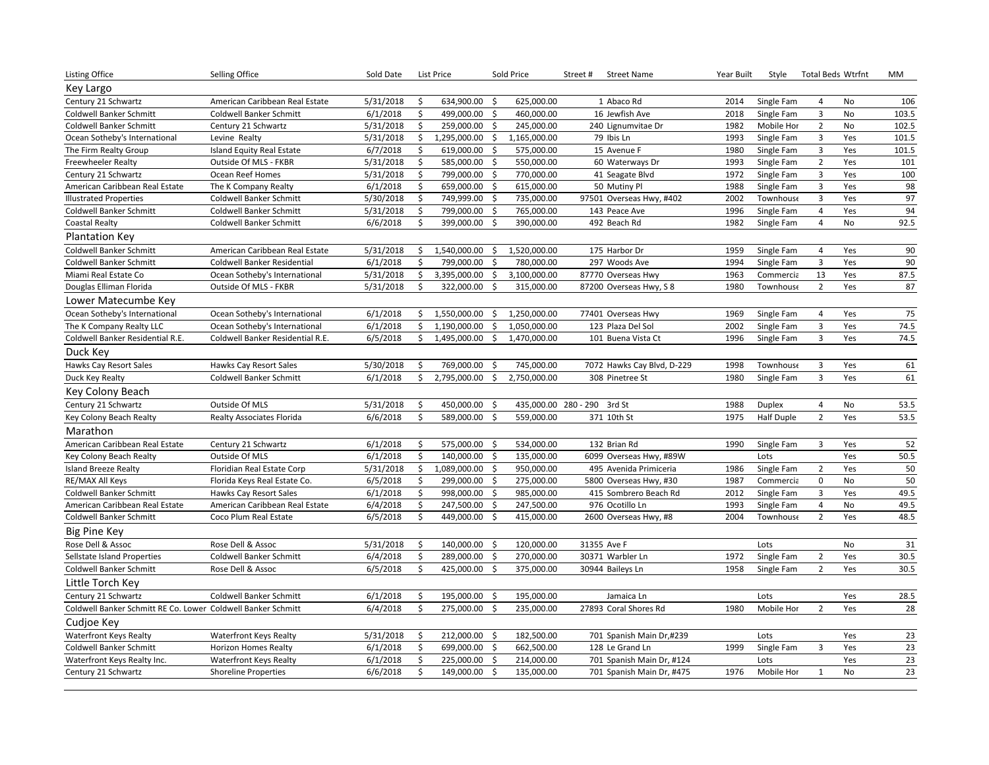| <b>Listing Office</b>                                        | Selling Office                     | Sold Date |                           | <b>List Price</b> |                     | Sold Price   | Street#<br><b>Street Name</b> | Year Built | Style             |                         | <b>Total Beds Wtrfnt</b> | МM              |
|--------------------------------------------------------------|------------------------------------|-----------|---------------------------|-------------------|---------------------|--------------|-------------------------------|------------|-------------------|-------------------------|--------------------------|-----------------|
| Key Largo                                                    |                                    |           |                           |                   |                     |              |                               |            |                   |                         |                          |                 |
| Century 21 Schwartz                                          | American Caribbean Real Estate     | 5/31/2018 | \$                        | 634,900.00        | -\$                 | 625,000.00   | 1 Abaco Rd                    | 2014       | Single Fam        | 4                       | No                       | 106             |
| Coldwell Banker Schmitt                                      | Coldwell Banker Schmitt            | 6/1/2018  | \$                        | 499,000.00        | \$                  | 460,000.00   | 16 Jewfish Ave                | 2018       | Single Fam        | $\overline{3}$          | No                       | 103.5           |
| Coldwell Banker Schmitt                                      | Century 21 Schwartz                | 5/31/2018 | \$                        | 259,000.00        | \$                  | 245,000.00   | 240 Lignumvitae Dr            | 1982       | Mobile Hor        | $\overline{2}$          | No                       | 102.5           |
| Ocean Sotheby's International                                | Levine Realty                      | 5/31/2018 | \$                        | 1,295,000.00      | \$                  | 1,165,000.00 | 79 Ibis Ln                    | 1993       | Single Fam        | $\mathsf 3$             | Yes                      | 101.5           |
| The Firm Realty Group                                        | Island Equity Real Estate          | 6/7/2018  | \$                        | 619,000.00        | $\mathsf{\hat{S}}$  | 575,000.00   | 15 Avenue F                   | 1980       | Single Fam        | $\overline{\mathbf{3}}$ | Yes                      | 101.5           |
| <b>Freewheeler Realty</b>                                    | Outside Of MLS - FKBR              | 5/31/2018 | \$                        | 585,000.00        | -\$                 | 550,000.00   | 60 Waterways Dr               | 1993       | Single Fam        | $\overline{2}$          | Yes                      | 101             |
| Century 21 Schwartz                                          | Ocean Reef Homes                   | 5/31/2018 | \$                        | 799,000.00        | -\$                 | 770,000.00   | 41 Seagate Blvd               | 1972       | Single Fam        | $\overline{3}$          | Yes                      | 100             |
| American Caribbean Real Estate                               | The K Company Realty               | 6/1/2018  | \$                        | 659,000.00        | \$                  | 615,000.00   | 50 Mutiny Pl                  | 1988       | Single Fam        | $\mathsf 3$             | Yes                      | 98              |
| <b>Illustrated Properties</b>                                | Coldwell Banker Schmitt            | 5/30/2018 | \$                        | 749,999.00        | $\mathsf{\hat{S}}$  | 735,000.00   | 97501 Overseas Hwy, #402      | 2002       | Townhouse         | $\overline{\mathbf{3}}$ | Yes                      | $\overline{97}$ |
| <b>Coldwell Banker Schmitt</b>                               | <b>Coldwell Banker Schmitt</b>     | 5/31/2018 | \$                        | 799,000.00        | -\$                 | 765,000.00   | 143 Peace Ave                 | 1996       | Single Fam        | $\overline{4}$          | Yes                      | 94              |
| Coastal Realty                                               | <b>Coldwell Banker Schmitt</b>     | 6/6/2018  | Ŝ.                        | 399,000.00        | Ś.                  | 390,000.00   | 492 Beach Rd                  | 1982       | Single Fam        | $\overline{4}$          | No                       | 92.5            |
| <b>Plantation Key</b>                                        |                                    |           |                           |                   |                     |              |                               |            |                   |                         |                          |                 |
| Coldwell Banker Schmitt                                      | American Caribbean Real Estate     | 5/31/2018 | \$                        | 1,540,000.00      | \$                  | 1,520,000.00 | 175 Harbor Dr                 | 1959       | Single Fam        | $\overline{4}$          | Yes                      | 90              |
| <b>Coldwell Banker Schmitt</b>                               | <b>Coldwell Banker Residential</b> | 6/1/2018  | \$                        | 799,000.00        | $\ddot{\mathsf{S}}$ | 780,000.00   | 297 Woods Ave                 | 1994       | Single Fam        | $\overline{\mathbf{3}}$ | Yes                      | 90              |
| Miami Real Estate Co                                         | Ocean Sotheby's International      | 5/31/2018 | \$                        | 3,395,000.00      | \$                  | 3,100,000.00 | 87770 Overseas Hwy            | 1963       | Commercia         | 13                      | Yes                      | 87.5            |
| Douglas Elliman Florida                                      | Outside Of MLS - FKBR              | 5/31/2018 | Ś.                        | 322,000.00        | $\mathsf{S}$        | 315,000.00   | 87200 Overseas Hwy, S 8       | 1980       | <b>Townhouse</b>  | $\overline{2}$          | Yes                      | 87              |
| Lower Matecumbe Key                                          |                                    |           |                           |                   |                     |              |                               |            |                   |                         |                          |                 |
| Ocean Sotheby's International                                | Ocean Sotheby's International      | 6/1/2018  | \$                        | 1,550,000.00      | \$                  | 1,250,000.00 | 77401 Overseas Hwy            | 1969       | Single Fam        | $\overline{4}$          | Yes                      | 75              |
| The K Company Realty LLC                                     | Ocean Sotheby's International      | 6/1/2018  | \$                        | 1,190,000.00      | Ś                   | 1,050,000.00 | 123 Plaza Del Sol             | 2002       | Single Fam        | $\overline{3}$          | Yes                      | 74.5            |
| Coldwell Banker Residential R.E.                             | Coldwell Banker Residential R.E.   | 6/5/2018  | \$                        | 1,495,000.00      | \$                  | 1,470,000.00 | 101 Buena Vista Ct            | 1996       | Single Fam        | $\overline{3}$          | Yes                      | 74.5            |
| Duck Key                                                     |                                    |           |                           |                   |                     |              |                               |            |                   |                         |                          |                 |
| Hawks Cay Resort Sales                                       | Hawks Cay Resort Sales             | 5/30/2018 | \$                        | 769,000.00        | - \$                | 745,000.00   | 7072 Hawks Cay Blvd, D-229    | 1998       | <b>Townhouse</b>  | $\overline{3}$          | Yes                      | 61              |
| Duck Key Realty                                              | Coldwell Banker Schmitt            | 6/1/2018  | \$                        | 2,795,000.00      | \$                  | 2,750,000.00 | 308 Pinetree St               | 1980       | Single Fam        | $\overline{3}$          | Yes                      | 61              |
| Key Colony Beach                                             |                                    |           |                           |                   |                     |              |                               |            |                   |                         |                          |                 |
| Century 21 Schwartz                                          | Outside Of MLS                     | 5/31/2018 | \$                        | 450,000.00        | -\$                 |              | 435,000.00 280 - 290 3rd St   | 1988       | Duplex            | $\overline{4}$          | No                       | 53.5            |
| Key Colony Beach Realty                                      | <b>Realty Associates Florida</b>   | 6/6/2018  | $\boldsymbol{\mathsf{S}}$ | 589,000.00        | \$                  | 559,000.00   | 371 10th St                   | 1975       | <b>Half Duple</b> | $\overline{2}$          | Yes                      | 53.5            |
| Marathon                                                     |                                    |           |                           |                   |                     |              |                               |            |                   |                         |                          |                 |
| American Caribbean Real Estate                               | Century 21 Schwartz                | 6/1/2018  | \$                        | 575,000.00        | -\$                 | 534,000.00   | 132 Brian Rd                  | 1990       | Single Fam        | $\mathbf{3}$            | Yes                      | 52              |
| Key Colony Beach Realty                                      | Outside Of MLS                     | 6/1/2018  | \$                        | 140,000.00        | \$                  | 135,000.00   | 6099 Overseas Hwy, #89W       |            | Lots              |                         | Yes                      | 50.5            |
| <b>Island Breeze Realty</b>                                  | Floridian Real Estate Corp         | 5/31/2018 | \$                        | 1,089,000.00      | \$                  | 950,000.00   | 495 Avenida Primiceria        | 1986       | Single Fam        | $\overline{2}$          | Yes                      | 50              |
| RE/MAX All Keys                                              | Florida Keys Real Estate Co.       | 6/5/2018  | \$                        | 299,000.00        | \$                  | 275,000.00   | 5800 Overseas Hwy, #30        | 1987       | Commercia         | $\mathsf{O}\xspace$     | No                       | 50              |
| <b>Coldwell Banker Schmitt</b>                               | Hawks Cay Resort Sales             | 6/1/2018  | \$                        | 998,000.00        | \$                  | 985,000.00   | 415 Sombrero Beach Rd         | 2012       | Single Fam        | $\overline{3}$          | Yes                      | 49.5            |
| American Caribbean Real Estate                               | American Caribbean Real Estate     | 6/4/2018  | \$                        | 247,500.00 \$     |                     | 247,500.00   | 976 Ocotillo Ln               | 1993       | Single Fam        | $\overline{4}$          | No                       | 49.5            |
| Coldwell Banker Schmitt                                      | Coco Plum Real Estate              | 6/5/2018  | \$                        | 449,000.00        | $\zeta$             | 415,000.00   | 2600 Overseas Hwy, #8         | 2004       | Townhouse         | $\overline{2}$          | Yes                      | 48.5            |
| Big Pine Key                                                 |                                    |           |                           |                   |                     |              |                               |            |                   |                         |                          |                 |
| Rose Dell & Assoc                                            | Rose Dell & Assoc                  | 5/31/2018 | \$                        | 140,000.00        | -\$                 | 120,000.00   | 31355 Ave F                   |            | Lots              |                         | No                       | 31              |
| Sellstate Island Properties                                  | <b>Coldwell Banker Schmitt</b>     | 6/4/2018  | \$                        | 289,000.00        | - Ś                 | 270,000.00   | 30371 Warbler Ln              | 1972       | Single Fam        | $\overline{2}$          | Yes                      | 30.5            |
| Coldwell Banker Schmitt                                      | Rose Dell & Assoc                  | 6/5/2018  | Ś.                        | 425,000.00        | Ś.                  | 375,000.00   | 30944 Baileys Ln              | 1958       | Single Fam        | $\overline{2}$          | Yes                      | 30.5            |
| Little Torch Key                                             |                                    |           |                           |                   |                     |              |                               |            |                   |                         |                          |                 |
| Century 21 Schwartz                                          | Coldwell Banker Schmitt            | 6/1/2018  | \$                        | 195,000.00        | -\$                 | 195,000.00   | Jamaica Ln                    |            | Lots              |                         | Yes                      | 28.5            |
| Coldwell Banker Schmitt RE Co. Lower Coldwell Banker Schmitt |                                    | 6/4/2018  | \$                        | 275,000.00        | $\mathsf{\hat{S}}$  | 235,000.00   | 27893 Coral Shores Rd         | 1980       | Mobile Hor        | $\overline{2}$          | Yes                      | 28              |
| Cudjoe Key                                                   |                                    |           |                           |                   |                     |              |                               |            |                   |                         |                          |                 |
| <b>Waterfront Keys Realty</b>                                | <b>Waterfront Keys Realty</b>      | 5/31/2018 | \$                        | 212,000.00        | -\$                 | 182,500.00   | 701 Spanish Main Dr,#239      |            | Lots              |                         | Yes                      | 23              |
| Coldwell Banker Schmitt                                      | <b>Horizon Homes Realty</b>        | 6/1/2018  | \$                        | 699,000.00        | \$                  | 662,500.00   | 128 Le Grand Ln               | 1999       | Single Fam        | $\overline{3}$          | Yes                      | 23              |
| Waterfront Keys Realty Inc.                                  | <b>Waterfront Keys Realty</b>      | 6/1/2018  | \$                        | 225,000.00        | \$                  | 214,000.00   | 701 Spanish Main Dr, #124     |            | Lots              |                         | Yes                      | 23              |
| Century 21 Schwartz                                          | <b>Shoreline Properties</b>        | 6/6/2018  | $\boldsymbol{\mathsf{S}}$ | 149,000.00        | $\mathsf{\hat{S}}$  | 135,000.00   | 701 Spanish Main Dr, #475     | 1976       | Mobile Hor        | $\mathbf{1}$            | <b>No</b>                | 23              |
|                                                              |                                    |           |                           |                   |                     |              |                               |            |                   |                         |                          |                 |